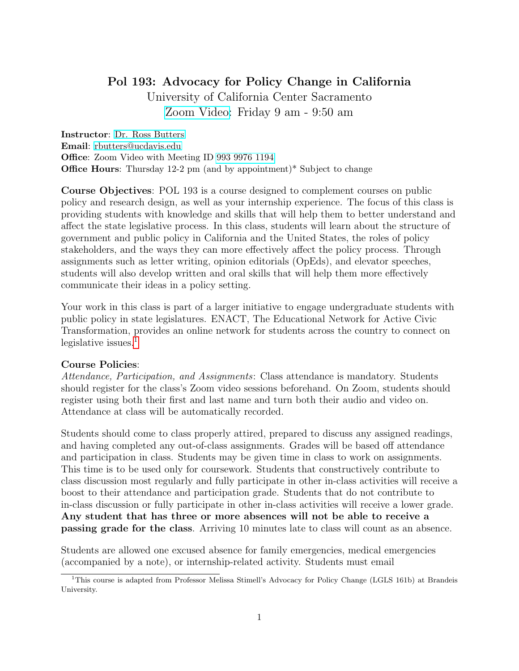# Pol 193: Advocacy for Policy Change in California

University of California Center Sacramento [Zoom Video:](https://ucdavis.zoom.us/j/99399761194) Friday 9 am - 9:50 am

Instructor: [Dr. Ross Butters](https://rossbutters.github.io/) Email: [rbutters@ucdavis.edu](mailto:rbutters@ucdavis.edu) Office: Zoom Video with Meeting ID [993 9976 1194](https://ucdavis.zoom.us/j/98954008784) Office Hours: Thursday 12-2 pm (and by appointment)\* Subject to change

Course Objectives: POL 193 is a course designed to complement courses on public policy and research design, as well as your internship experience. The focus of this class is providing students with knowledge and skills that will help them to better understand and affect the state legislative process. In this class, students will learn about the structure of government and public policy in California and the United States, the roles of policy stakeholders, and the ways they can more effectively affect the policy process. Through assignments such as letter writing, opinion editorials (OpEds), and elevator speeches, students will also develop written and oral skills that will help them more effectively communicate their ideas in a policy setting.

Your work in this class is part of a larger initiative to engage undergraduate students with public policy in state legislatures. ENACT, The Educational Network for Active Civic Transformation, provides an online network for students across the country to connect on legislative issues. $<sup>1</sup>$  $<sup>1</sup>$  $<sup>1</sup>$ </sup>

#### Course Policies:

Attendance, Participation, and Assignments: Class attendance is mandatory. Students should register for the class's Zoom video sessions beforehand. On Zoom, students should register using both their first and last name and turn both their audio and video on. Attendance at class will be automatically recorded.

Students should come to class properly attired, prepared to discuss any assigned readings, and having completed any out-of-class assignments. Grades will be based off attendance and participation in class. Students may be given time in class to work on assignments. This time is to be used only for coursework. Students that constructively contribute to class discussion most regularly and fully participate in other in-class activities will receive a boost to their attendance and participation grade. Students that do not contribute to in-class discussion or fully participate in other in-class activities will receive a lower grade. Any student that has three or more absences will not be able to receive a passing grade for the class. Arriving 10 minutes late to class will count as an absence.

Students are allowed one excused absence for family emergencies, medical emergencies (accompanied by a note), or internship-related activity. Students must email

<span id="page-0-0"></span><sup>1</sup>This course is adapted from Professor Melissa Stimell's Advocacy for Policy Change (LGLS 161b) at Brandeis University.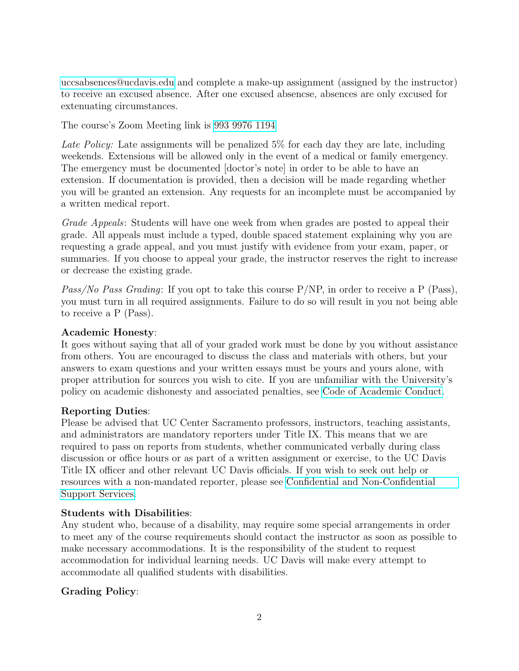[uccsabsences@ucdavis.edu](mailto:uccsabsences@ucdavis.edu) and complete a make-up assignment (assigned by the instructor) to receive an excused absence. After one excused absencse, absences are only excused for extenuating circumstances.

The course's Zoom Meeting link is [993 9976 1194](https://ucdavis.zoom.us/j/99399761194)

Late Policy: Late assignments will be penalized 5% for each day they are late, including weekends. Extensions will be allowed only in the event of a medical or family emergency. The emergency must be documented [doctor's note] in order to be able to have an extension. If documentation is provided, then a decision will be made regarding whether you will be granted an extension. Any requests for an incomplete must be accompanied by a written medical report.

Grade Appeals: Students will have one week from when grades are posted to appeal their grade. All appeals must include a typed, double spaced statement explaining why you are requesting a grade appeal, and you must justify with evidence from your exam, paper, or summaries. If you choose to appeal your grade, the instructor reserves the right to increase or decrease the existing grade.

Pass/No Pass Grading: If you opt to take this course  $P/NP$ , in order to receive a P (Pass), you must turn in all required assignments. Failure to do so will result in you not being able to receive a P (Pass).

### Academic Honesty:

It goes without saying that all of your graded work must be done by you without assistance from others. You are encouraged to discuss the class and materials with others, but your answers to exam questions and your written essays must be yours and yours alone, with proper attribution for sources you wish to cite. If you are unfamiliar with the University's policy on academic dishonesty and associated penalties, see [Code of Academic Conduct.](https://ossja.ucdavis.edu/code-academic-conduct?utm_source=sja&utm_medium=redirect-page)

#### Reporting Duties:

Please be advised that UC Center Sacramento professors, instructors, teaching assistants, and administrators are mandatory reporters under Title IX. This means that we are required to pass on reports from students, whether communicated verbally during class discussion or office hours or as part of a written assignment or exercise, to the UC Davis Title IX officer and other relevant UC Davis officials. If you wish to seek out help or resources with a non-mandated reporter, please see [Confidential and Non-Confidential](https://sexualviolence.ucdavis.edu/get-support) [Support Services.](https://sexualviolence.ucdavis.edu/get-support)

#### Students with Disabilities:

Any student who, because of a disability, may require some special arrangements in order to meet any of the course requirements should contact the instructor as soon as possible to make necessary accommodations. It is the responsibility of the student to request accommodation for individual learning needs. UC Davis will make every attempt to accommodate all qualified students with disabilities.

## Grading Policy: